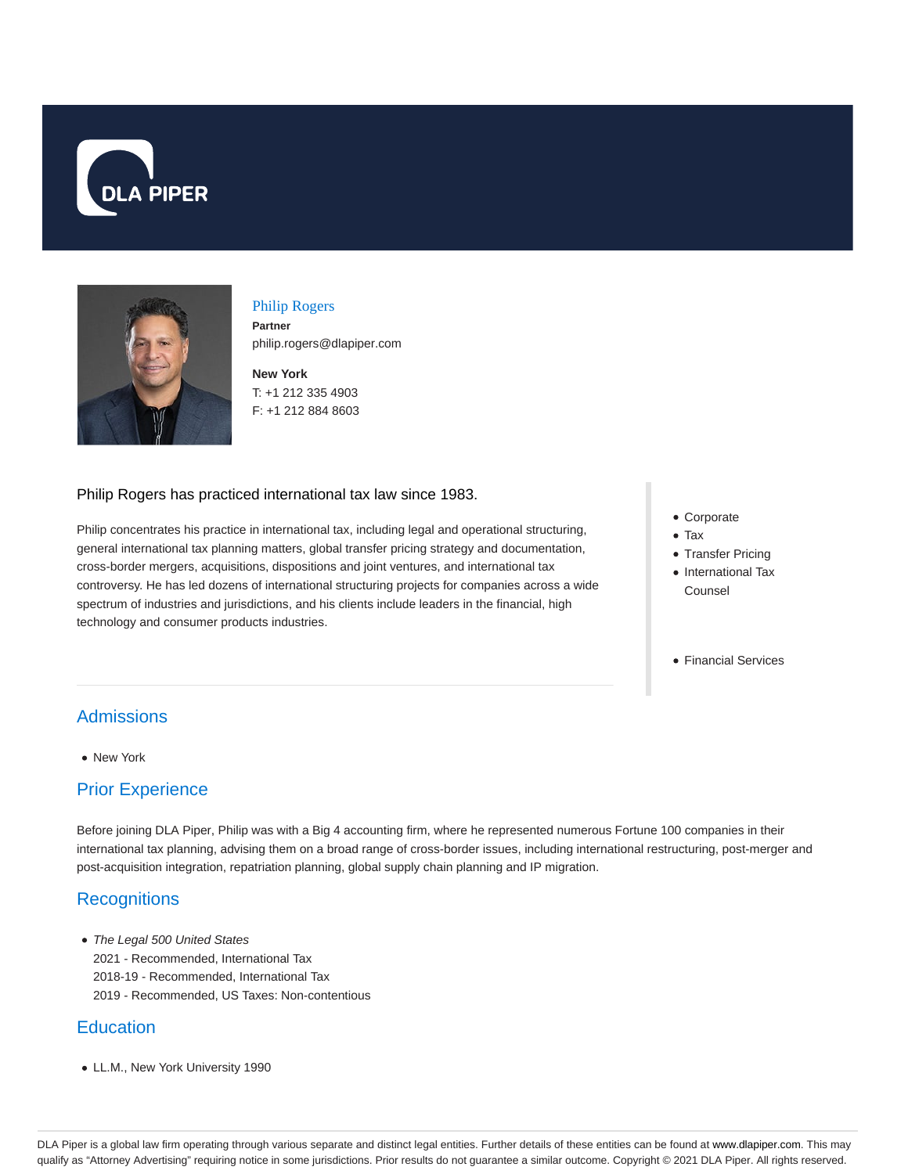



#### Philip Rogers

**Partner** philip.rogers@dlapiper.com

**New York** T: +1 212 335 4903 F: +1 212 884 8603

#### Philip Rogers has practiced international tax law since 1983.

Philip concentrates his practice in international tax, including legal and operational structuring, general international tax planning matters, global transfer pricing strategy and documentation, cross-border mergers, acquisitions, dispositions and joint ventures, and international tax controversy. He has led dozens of international structuring projects for companies across a wide spectrum of industries and jurisdictions, and his clients include leaders in the financial, high technology and consumer products industries.

- Corporate
- Tax
- Transfer Pricing
- International Tax Counsel
- Financial Services

## Admissions

• New York

## Prior Experience

Before joining DLA Piper, Philip was with a Big 4 accounting firm, where he represented numerous Fortune 100 companies in their international tax planning, advising them on a broad range of cross-border issues, including international restructuring, post-merger and post-acquisition integration, repatriation planning, global supply chain planning and IP migration.

# **Recognitions**

• The Legal 500 United States 2021 - Recommended, International Tax 2018-19 - Recommended, International Tax 2019 - Recommended, US Taxes: Non-contentious

## **Education**

LL.M., New York University 1990